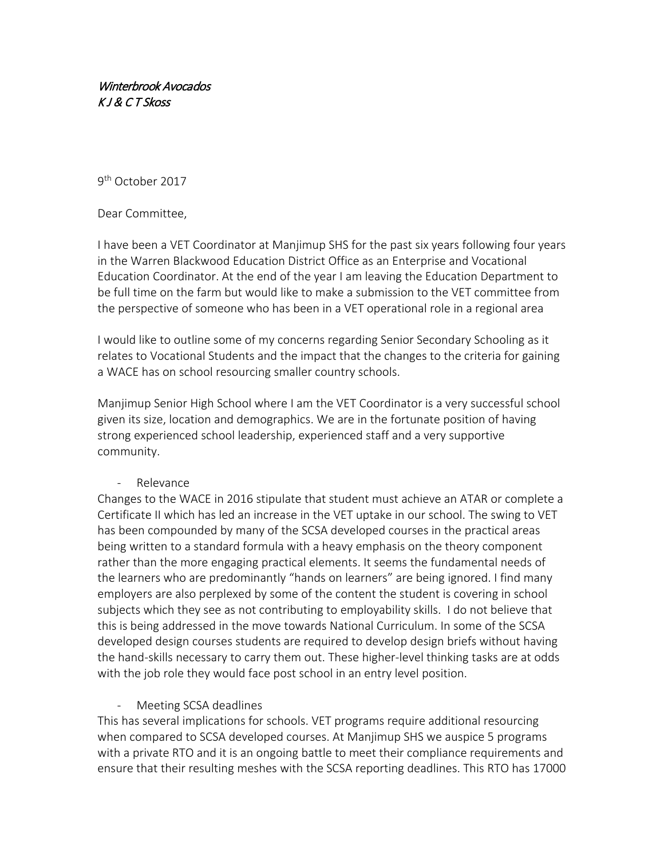## Winterbrook Avocados K J & C T Skoss

9<sup>th</sup> October 2017

Dear Committee,

I have been a VET Coordinator at Manjimup SHS for the past six years following four years in the Warren Blackwood Education District Office as an Enterprise and Vocational Education Coordinator. At the end of the year I am leaving the Education Department to be full time on the farm but would like to make a submission to the VET committee from the perspective of someone who has been in a VET operational role in a regional area

I would like to outline some of my concerns regarding Senior Secondary Schooling as it relates to Vocational Students and the impact that the changes to the criteria for gaining a WACE has on school resourcing smaller country schools.

Manjimup Senior High School where I am the VET Coordinator is a very successful school given its size, location and demographics. We are in the fortunate position of having strong experienced school leadership, experienced staff and a very supportive community.

- Relevance

Changes to the WACE in 2016 stipulate that student must achieve an ATAR or complete a Certificate II which has led an increase in the VET uptake in our school. The swing to VET has been compounded by many of the SCSA developed courses in the practical areas being written to a standard formula with a heavy emphasis on the theory component rather than the more engaging practical elements. It seems the fundamental needs of the learners who are predominantly "hands on learners" are being ignored. I find many employers are also perplexed by some of the content the student is covering in school subjects which they see as not contributing to employability skills. I do not believe that this is being addressed in the move towards National Curriculum. In some of the SCSA developed design courses students are required to develop design briefs without having the hand-skills necessary to carry them out. These higher-level thinking tasks are at odds with the job role they would face post school in an entry level position.

- Meeting SCSA deadlines

This has several implications for schools. VET programs require additional resourcing when compared to SCSA developed courses. At Manjimup SHS we auspice 5 programs with a private RTO and it is an ongoing battle to meet their compliance requirements and ensure that their resulting meshes with the SCSA reporting deadlines. This RTO has 17000